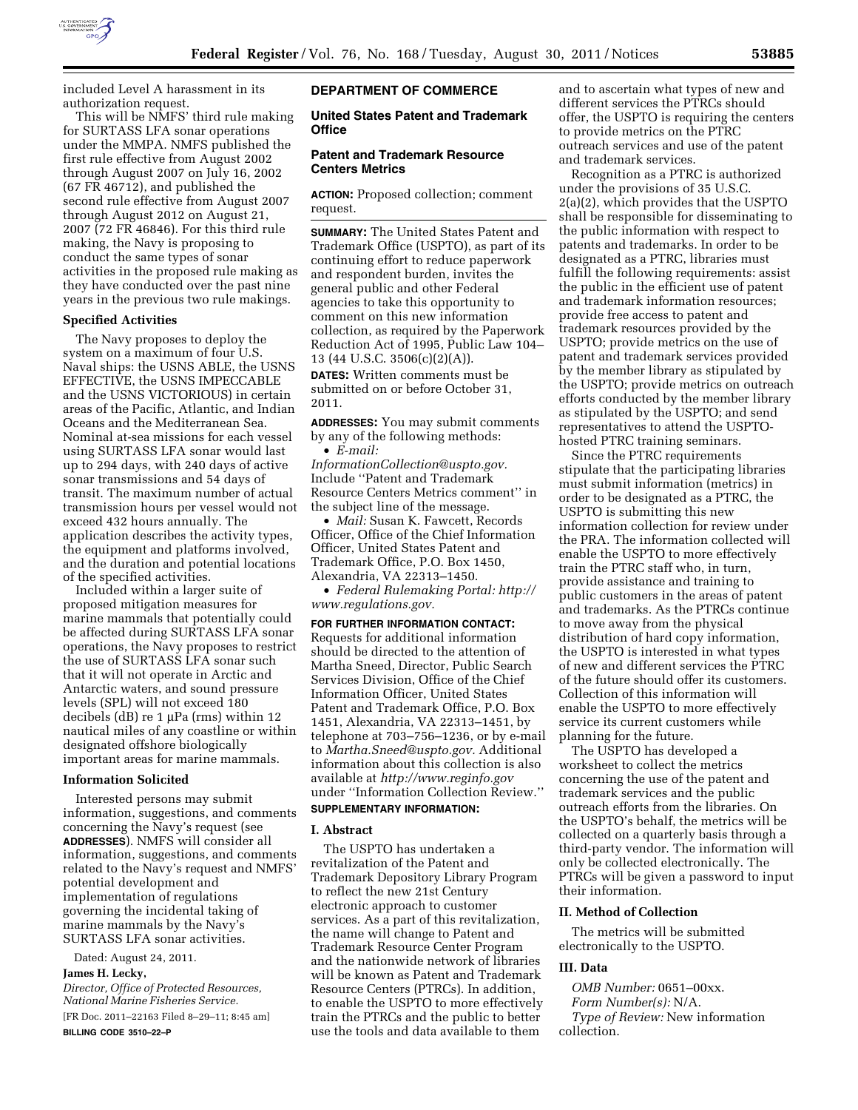

included Level A harassment in its authorization request.

This will be NMFS' third rule making for SURTASS LFA sonar operations under the MMPA. NMFS published the first rule effective from August 2002 through August 2007 on July 16, 2002 (67 FR 46712), and published the second rule effective from August 2007 through August 2012 on August 21, 2007 (72 FR 46846). For this third rule making, the Navy is proposing to conduct the same types of sonar activities in the proposed rule making as they have conducted over the past nine years in the previous two rule makings.

### **Specified Activities**

The Navy proposes to deploy the system on a maximum of four U.S. Naval ships: the USNS ABLE, the USNS EFFECTIVE, the USNS IMPECCABLE and the USNS VICTORIOUS) in certain areas of the Pacific, Atlantic, and Indian Oceans and the Mediterranean Sea. Nominal at-sea missions for each vessel using SURTASS LFA sonar would last up to 294 days, with 240 days of active sonar transmissions and 54 days of transit. The maximum number of actual transmission hours per vessel would not exceed 432 hours annually. The application describes the activity types, the equipment and platforms involved, and the duration and potential locations of the specified activities.

Included within a larger suite of proposed mitigation measures for marine mammals that potentially could be affected during SURTASS LFA sonar operations, the Navy proposes to restrict the use of SURTASS LFA sonar such that it will not operate in Arctic and Antarctic waters, and sound pressure levels (SPL) will not exceed 180 decibels (dB) re 1 μPa (rms) within 12 nautical miles of any coastline or within designated offshore biologically important areas for marine mammals.

## **Information Solicited**

Interested persons may submit information, suggestions, and comments concerning the Navy's request (see **ADDRESSES**). NMFS will consider all information, suggestions, and comments related to the Navy's request and NMFS' potential development and implementation of regulations governing the incidental taking of marine mammals by the Navy's SURTASS LFA sonar activities.

Dated: August 24, 2011.

# **James H. Lecky,**

*Director, Office of Protected Resources, National Marine Fisheries Service.* 

[FR Doc. 2011–22163 Filed 8–29–11; 8:45 am] **BILLING CODE 3510–22–P** 

# **DEPARTMENT OF COMMERCE**

**United States Patent and Trademark Office** 

# **Patent and Trademark Resource Centers Metrics**

**ACTION:** Proposed collection; comment request.

**SUMMARY:** The United States Patent and Trademark Office (USPTO), as part of its continuing effort to reduce paperwork and respondent burden, invites the general public and other Federal agencies to take this opportunity to comment on this new information collection, as required by the Paperwork Reduction Act of 1995, Public Law 104– 13 (44 U.S.C. 3506(c)(2)(A)).

**DATES:** Written comments must be submitted on or before October 31, 2011.

**ADDRESSES:** You may submit comments by any of the following methods: • *E-mail:* 

*[InformationCollection@uspto.gov.](mailto:InformationCollection@uspto.gov)*  Include ''Patent and Trademark Resource Centers Metrics comment'' in the subject line of the message.

• *Mail:* Susan K. Fawcett, Records Officer, Office of the Chief Information Officer, United States Patent and Trademark Office, P.O. Box 1450, Alexandria, VA 22313–1450.

• *Federal Rulemaking Portal: [http://](http://www.regulations.gov) [www.regulations.gov.](http://www.regulations.gov)* 

### **FOR FURTHER INFORMATION CONTACT:**

Requests for additional information should be directed to the attention of Martha Sneed, Director, Public Search Services Division, Office of the Chief Information Officer, United States Patent and Trademark Office, P.O. Box 1451, Alexandria, VA 22313–1451, by telephone at 703–756–1236, or by e-mail to *[Martha.Sneed@uspto.gov.](mailto:Martha.Sneed@uspto.gov)* Additional information about this collection is also available at *<http://www.reginfo.gov>*  under ''Information Collection Review.''

# **SUPPLEMENTARY INFORMATION:**

### **I. Abstract**

The USPTO has undertaken a revitalization of the Patent and Trademark Depository Library Program to reflect the new 21st Century electronic approach to customer services. As a part of this revitalization, the name will change to Patent and Trademark Resource Center Program and the nationwide network of libraries will be known as Patent and Trademark Resource Centers (PTRCs). In addition, to enable the USPTO to more effectively train the PTRCs and the public to better use the tools and data available to them

and to ascertain what types of new and different services the PTRCs should offer, the USPTO is requiring the centers to provide metrics on the PTRC outreach services and use of the patent and trademark services.

Recognition as a PTRC is authorized under the provisions of 35 U.S.C. 2(a)(2), which provides that the USPTO shall be responsible for disseminating to the public information with respect to patents and trademarks. In order to be designated as a PTRC, libraries must fulfill the following requirements: assist the public in the efficient use of patent and trademark information resources; provide free access to patent and trademark resources provided by the USPTO; provide metrics on the use of patent and trademark services provided by the member library as stipulated by the USPTO; provide metrics on outreach efforts conducted by the member library as stipulated by the USPTO; and send representatives to attend the USPTOhosted PTRC training seminars.

Since the PTRC requirements stipulate that the participating libraries must submit information (metrics) in order to be designated as a PTRC, the USPTO is submitting this new information collection for review under the PRA. The information collected will enable the USPTO to more effectively train the PTRC staff who, in turn, provide assistance and training to public customers in the areas of patent and trademarks. As the PTRCs continue to move away from the physical distribution of hard copy information, the USPTO is interested in what types of new and different services the PTRC of the future should offer its customers. Collection of this information will enable the USPTO to more effectively service its current customers while planning for the future.

The USPTO has developed a worksheet to collect the metrics concerning the use of the patent and trademark services and the public outreach efforts from the libraries. On the USPTO's behalf, the metrics will be collected on a quarterly basis through a third-party vendor. The information will only be collected electronically. The PTRCs will be given a password to input their information.

#### **II. Method of Collection**

The metrics will be submitted electronically to the USPTO.

### **III. Data**

*OMB Number:* 0651–00xx. *Form Number(s):* N/A. *Type of Review:* New information collection.